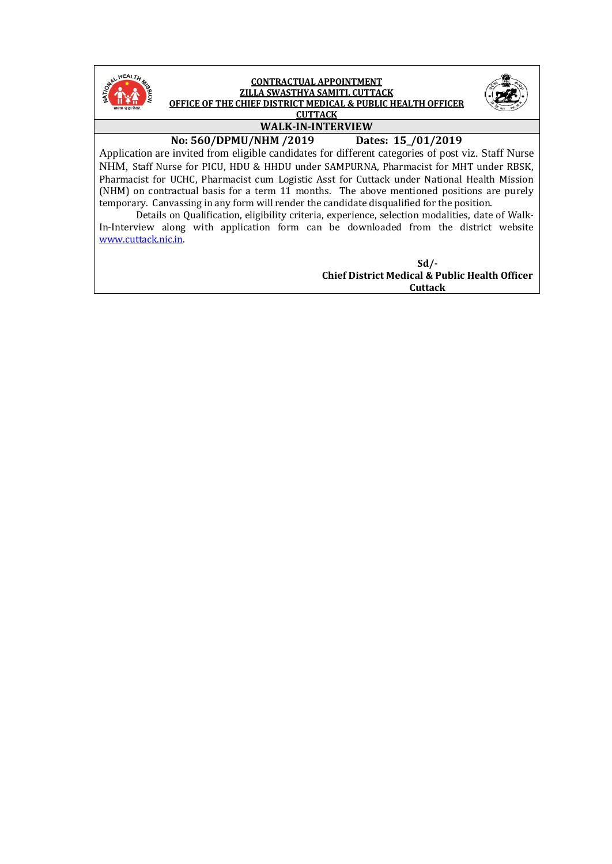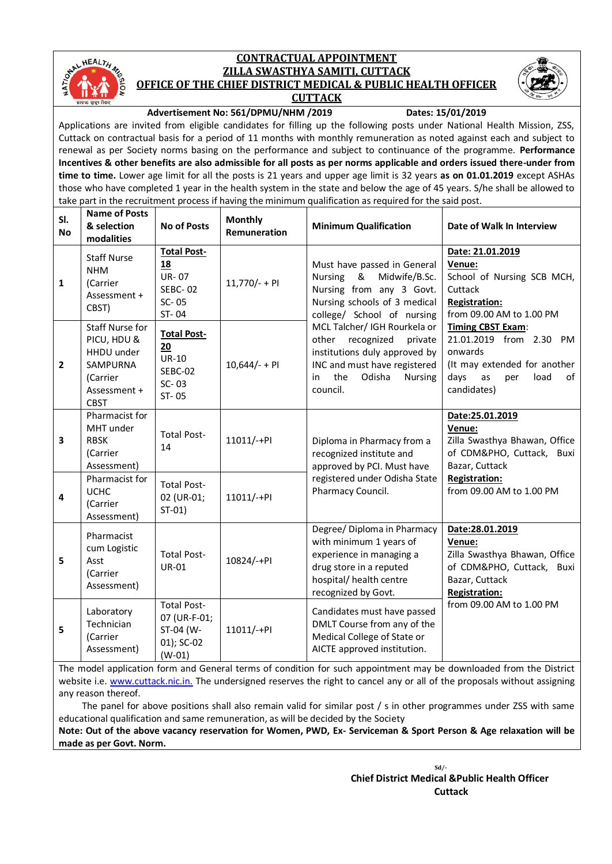

#### **CONTRACTUAL APPOINTMENT ZILLA SWASTHYA SAMITI, CUTTACK OFFICE OF THE CHIEF DISTRICT MEDICAL & PUBLIC HEALTH OFFICER CUTTACK**



#### **Advertisement No: 561/DPMU/NHM /2019 Dates: 15/01/2019**

Applications are invited from eligible candidates for filling up the following posts under National Health Mission, ZSS, Cuttack on contractual basis for a period of 11 months with monthly remuneration as noted against each and subject to renewal as per Society norms basing on the performance and subject to continuance of the programme. **Performance Incentives & other benefits are also admissible for all posts as per norms applicable and orders issued there-under from time to time.** Lower age limit for all the posts is 21 years and upper age limit is 32 years **as on 01.01.2019** except ASHAs those who have completed 1 year in the health system in the state and below the age of 45 years. S/he shall be allowed to take part in the recruitment process if having the minimum qualification as required for the said post.

| SI.<br><b>No</b> | <b>Name of Posts</b><br>& selection<br>modalities                                                          | <b>No of Posts</b>                                                           | <b>Monthly</b><br>Remuneration | <b>Minimum Qualification</b>                                                                                                                                                                                                                                                             | Date of Walk In Interview                                                                                                                                     |  |  |
|------------------|------------------------------------------------------------------------------------------------------------|------------------------------------------------------------------------------|--------------------------------|------------------------------------------------------------------------------------------------------------------------------------------------------------------------------------------------------------------------------------------------------------------------------------------|---------------------------------------------------------------------------------------------------------------------------------------------------------------|--|--|
| $\mathbf{1}$     | <b>Staff Nurse</b><br><b>NHM</b><br>(Carrier<br>Assessment +<br>CBST)                                      | <b>Total Post-</b><br>18<br><b>UR-07</b><br><b>SEBC-02</b><br>SC-05<br>ST-04 | 11,770/- + PI                  | Date: 21.01.2019<br>Venue:<br>Must have passed in General<br>School of Nursing SCB MCH,<br><b>Nursing</b><br>&<br>Midwife/B.Sc.<br>Nursing from any 3 Govt.<br>Cuttack<br>Nursing schools of 3 medical<br><b>Registration:</b><br>from 09.00 AM to 1.00 PM<br>college/ School of nursing |                                                                                                                                                               |  |  |
| $\mathbf{2}$     | <b>Staff Nurse for</b><br>PICU, HDU &<br>HHDU under<br>SAMPURNA<br>(Carrier<br>Assessment +<br><b>CBST</b> | <b>Total Post-</b><br>20<br><b>UR-10</b><br>SEBC-02<br>SC-03<br>ST-05        | $10,644/- + PI$                | MCL Talcher/ IGH Rourkela or<br>other<br>recognized<br>private<br>institutions duly approved by<br>INC and must have registered<br>the<br>Odisha<br>Nursing<br>in<br>council.                                                                                                            | Timing CBST Exam:<br>21.01.2019 from 2.30 PM<br>onwards<br>(It may extended for another<br>days<br>as<br>load<br>of<br>per<br>candidates)                     |  |  |
| 3                | Pharmacist for<br>MHT under<br><b>RBSK</b><br>(Carrier<br>Assessment)                                      | <b>Total Post-</b><br>14                                                     | 11011/-+PI                     | Diploma in Pharmacy from a<br>recognized institute and<br>approved by PCI. Must have                                                                                                                                                                                                     | Date:25.01.2019<br>Venue:<br>Zilla Swasthya Bhawan, Office<br>of CDM&PHO, Cuttack, Buxi<br>Bazar, Cuttack                                                     |  |  |
| 4                | Pharmacist for<br><b>UCHC</b><br>(Carrier<br>Assessment)                                                   | <b>Total Post-</b><br>02 (UR-01;<br>$ST-01)$                                 | 11011/-+PI                     | registered under Odisha State<br>Pharmacy Council.                                                                                                                                                                                                                                       | <b>Registration:</b><br>from 09.00 AM to 1.00 PM                                                                                                              |  |  |
| 5                | Pharmacist<br>cum Logistic<br>Asst<br>(Carrier<br>Assessment)                                              | <b>Total Post-</b><br><b>UR-01</b>                                           | 10824/-+PI                     | Degree/ Diploma in Pharmacy<br>with minimum 1 years of<br>experience in managing a<br>drug store in a reputed<br>hospital/ health centre<br>recognized by Govt.                                                                                                                          | Date:28.01.2019<br>Venue:<br>Zilla Swasthya Bhawan, Office<br>of CDM&PHO, Cuttack, Buxi<br>Bazar, Cuttack<br><b>Registration:</b><br>from 09.00 AM to 1.00 PM |  |  |
| 5                | Laboratory<br>Technician<br>(Carrier<br>Assessment)                                                        | <b>Total Post-</b><br>07 (UR-F-01;<br>ST-04 (W-<br>01); SC-02<br>$(W-01)$    | 11011/-+PI                     | Candidates must have passed<br>DMLT Course from any of the<br>Medical College of State or<br>AICTE approved institution.                                                                                                                                                                 |                                                                                                                                                               |  |  |

The model application form and General terms of condition for such appointment may be downloaded from the District website i.e. [www.cuttack.nic.in.](http://www.cuttack.nic.in/) The undersigned reserves the right to cancel any or all of the proposals without assigning any reason thereof.

 The panel for above positions shall also remain valid for similar post / s in other programmes under ZSS with same educational qualification and same remuneration, as will be decided by the Society

**Note: Out of the above vacancy reservation for Women, PWD, Ex- Serviceman & Sport Person & Age relaxation will be made as per Govt. Norm.**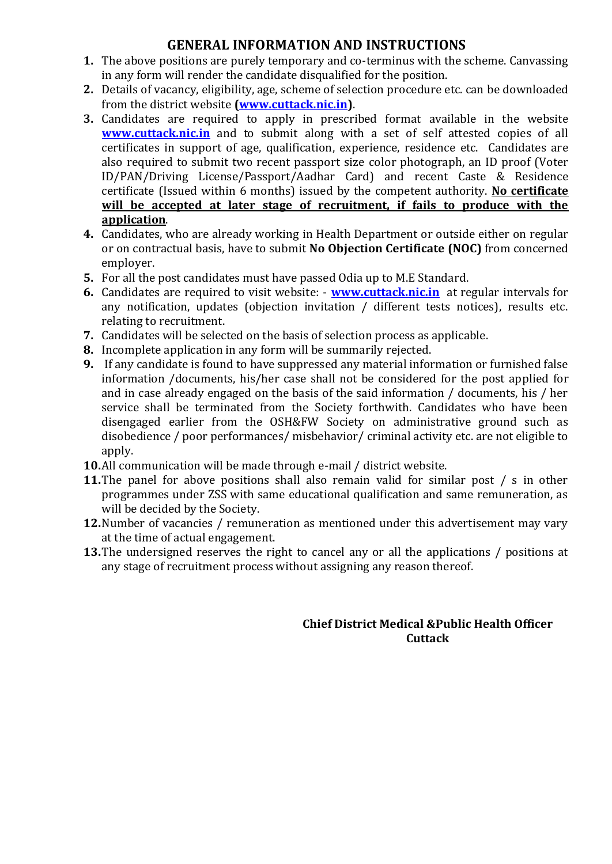# **GENERAL INFORMATION AND INSTRUCTIONS**

- **1.** The above positions are purely temporary and co-terminus with the scheme. Canvassing in any form will render the candidate disqualified for the position.
- **2.** Details of vacancy, eligibility, age, scheme of selection procedure etc. can be downloaded from the district website **[\(www.cuttack.nic.in\)](http://www.cuttack.nic.in/)**.
- **3.** Candidates are required to apply in prescribed format available in the website **[www.cuttack.nic.in](http://www.cuttack.nic.in/)** and to submit along with a set of self attested copies of all certificates in support of age, qualification, experience, residence etc. Candidates are also required to submit two recent passport size color photograph, an ID proof (Voter ID/PAN/Driving License/Passport/Aadhar Card) and recent Caste & Residence certificate (Issued within 6 months) issued by the competent authority. **No certificate will be accepted at later stage of recruitment, if fails to produce with the application**.
- **4.** Candidates, who are already working in Health Department or outside either on regular or on contractual basis, have to submit **No Objection Certificate (NOC)** from concerned employer.
- **5.** For all the post candidates must have passed Odia up to M.E Standard.
- **6.** Candidates are required to visit website: **[www.cuttack.nic.in](http://www.cuttack.nic.in/)** at regular intervals for any notification, updates (objection invitation / different tests notices), results etc. relating to recruitment.
- **7.** Candidates will be selected on the basis of selection process as applicable.
- **8.** Incomplete application in any form will be summarily rejected.
- **9.** If any candidate is found to have suppressed any material information or furnished false information /documents, his/her case shall not be considered for the post applied for and in case already engaged on the basis of the said information / documents, his / her service shall be terminated from the Society forthwith. Candidates who have been disengaged earlier from the OSH&FW Society on administrative ground such as disobedience / poor performances/ misbehavior/ criminal activity etc. are not eligible to apply.
- **10.**All communication will be made through e-mail / district website.
- **11.**The panel for above positions shall also remain valid for similar post / s in other programmes under ZSS with same educational qualification and same remuneration, as will be decided by the Society.
- **12.**Number of vacancies / remuneration as mentioned under this advertisement may vary at the time of actual engagement.
- **13.**The undersigned reserves the right to cancel any or all the applications / positions at any stage of recruitment process without assigning any reason thereof.

## **Chief District Medical &Public Health Officer Cuttack**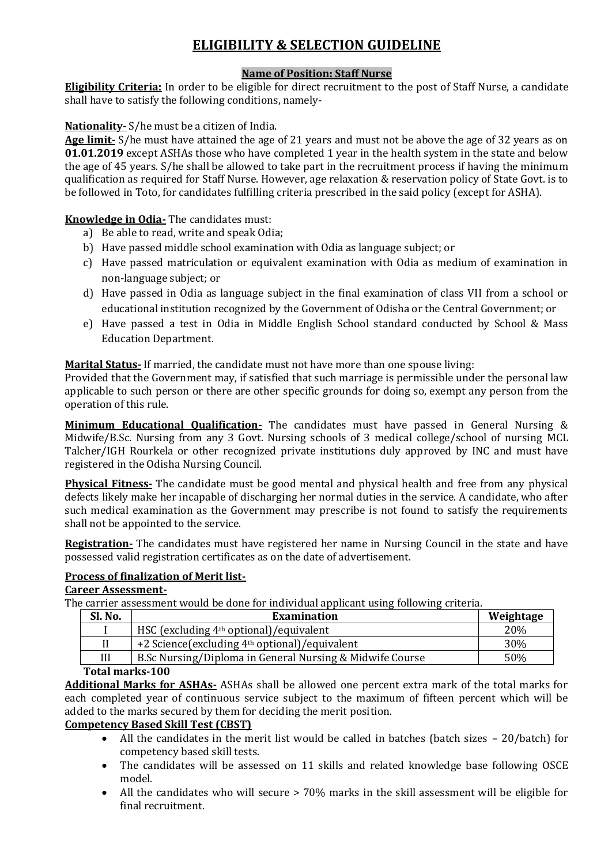# **ELIGIBILITY & SELECTION GUIDELINE**

## **Name of Position: Staff Nurse**

**Eligibility Criteria:** In order to be eligible for direct recruitment to the post of Staff Nurse, a candidate shall have to satisfy the following conditions, namely-

**Nationality-** S/he must be a citizen of India.

**Age limit-** S/he must have attained the age of 21 years and must not be above the age of 32 years as on **01.01.2019** except ASHAs those who have completed 1 year in the health system in the state and below the age of 45 years. S/he shall be allowed to take part in the recruitment process if having the minimum qualification as required for Staff Nurse. However, age relaxation & reservation policy of State Govt. is to be followed in Toto, for candidates fulfilling criteria prescribed in the said policy (except for ASHA).

**Knowledge in Odia-** The candidates must:

- a) Be able to read, write and speak Odia;
- b) Have passed middle school examination with Odia as language subject; or
- c) Have passed matriculation or equivalent examination with Odia as medium of examination in non-language subject; or
- d) Have passed in Odia as language subject in the final examination of class VII from a school or educational institution recognized by the Government of Odisha or the Central Government; or
- e) Have passed a test in Odia in Middle English School standard conducted by School & Mass Education Department.

**Marital Status-** If married, the candidate must not have more than one spouse living:

Provided that the Government may, if satisfied that such marriage is permissible under the personal law applicable to such person or there are other specific grounds for doing so, exempt any person from the operation of this rule.

**Minimum Educational Qualification-** The candidates must have passed in General Nursing & Midwife/B.Sc. Nursing from any 3 Govt. Nursing schools of 3 medical college/school of nursing MCL Talcher/IGH Rourkela or other recognized private institutions duly approved by INC and must have registered in the Odisha Nursing Council.

**Physical Fitness-** The candidate must be good mental and physical health and free from any physical defects likely make her incapable of discharging her normal duties in the service. A candidate, who after such medical examination as the Government may prescribe is not found to satisfy the requirements shall not be appointed to the service.

**Registration-** The candidates must have registered her name in Nursing Council in the state and have possessed valid registration certificates as on the date of advertisement.

## **Process of finalization of Merit list-**

#### **Career Assessment-**

The carrier assessment would be done for individual applicant using following criteria.

| Sl. No.                                             | <b>Examination</b>                                        | Weightage |  |  |
|-----------------------------------------------------|-----------------------------------------------------------|-----------|--|--|
|                                                     | HSC (excluding 4 <sup>th</sup> optional)/equivalent       | 20%       |  |  |
|                                                     | +2 Science(excluding 4 <sup>th</sup> optional)/equivalent | 30%       |  |  |
| Ш                                                   | B.Sc Nursing/Diploma in General Nursing & Midwife Course  | 50%       |  |  |
| $T_{\text{shell}}$ $\sim$ $\sim$ $\sim$ $\sim$ 4.00 |                                                           |           |  |  |

#### **Total marks-100**

**Additional Marks for ASHAs-** ASHAs shall be allowed one percent extra mark of the total marks for each completed year of continuous service subject to the maximum of fifteen percent which will be added to the marks secured by them for deciding the merit position.

#### **Competency Based Skill Test (CBST)**

- All the candidates in the merit list would be called in batches (batch sizes 20/batch) for competency based skill tests.
- The candidates will be assessed on 11 skills and related knowledge base following OSCE model.
- All the candidates who will secure > 70% marks in the skill assessment will be eligible for final recruitment.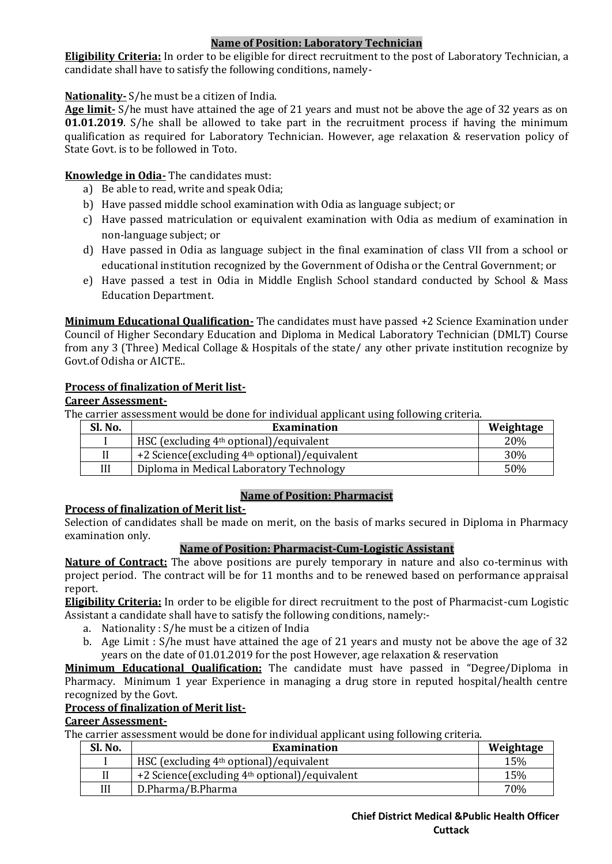## **Name of Position: Laboratory Technician**

**Eligibility Criteria:** In order to be eligible for direct recruitment to the post of Laboratory Technician, a candidate shall have to satisfy the following conditions, namely-

## **Nationality-** S/he must be a citizen of India.

**Age limit-** S/he must have attained the age of 21 years and must not be above the age of 32 years as on **01.01.2019**. S/he shall be allowed to take part in the recruitment process if having the minimum qualification as required for Laboratory Technician. However, age relaxation & reservation policy of State Govt. is to be followed in Toto.

## **Knowledge in Odia-** The candidates must:

- a) Be able to read, write and speak Odia;
- b) Have passed middle school examination with Odia as language subject; or
- c) Have passed matriculation or equivalent examination with Odia as medium of examination in non-language subject; or
- d) Have passed in Odia as language subject in the final examination of class VII from a school or educational institution recognized by the Government of Odisha or the Central Government; or
- e) Have passed a test in Odia in Middle English School standard conducted by School & Mass Education Department.

**Minimum Educational Qualification-** The candidates must have passed +2 Science Examination under Council of Higher Secondary Education and Diploma in Medical Laboratory Technician (DMLT) Course from any 3 (Three) Medical Collage & Hospitals of the state/ any other private institution recognize by Govt.of Odisha or AICTE..

## **Process of finalization of Merit list-**

#### **Career Assessment-**

The carrier assessment would be done for individual applicant using following criteria.

| Sl. No. | Examination                                               | Weightage |
|---------|-----------------------------------------------------------|-----------|
|         | HSC (excluding 4 <sup>th</sup> optional)/equivalent       | 20%       |
|         | +2 Science(excluding 4 <sup>th</sup> optional)/equivalent | 30%       |
| Ш       | Diploma in Medical Laboratory Technology                  | 50%       |

## **Name of Position: Pharmacist**

## **Process of finalization of Merit list-**

Selection of candidates shall be made on merit, on the basis of marks secured in Diploma in Pharmacy examination only.

## **Name of Position: Pharmacist-Cum-Logistic Assistant**

**Nature of Contract:** The above positions are purely temporary in nature and also co-terminus with project period. The contract will be for 11 months and to be renewed based on performance appraisal report.

**Eligibility Criteria:** In order to be eligible for direct recruitment to the post of Pharmacist-cum Logistic Assistant a candidate shall have to satisfy the following conditions, namely:-

- a. Nationality : S/he must be a citizen of India
- b. Age Limit : S/he must have attained the age of 21 years and musty not be above the age of 32 years on the date of 01.01.2019 for the post However, age relaxation & reservation

**Minimum Educational Qualification:** The candidate must have passed in "Degree/Diploma in Pharmacy. Minimum 1 year Experience in managing a drug store in reputed hospital/health centre recognized by the Govt.

## **Process of finalization of Merit list-**

#### **Career Assessment-**

The carrier assessment would be done for individual applicant using following criteria.

| Sl. No. | Examination                                                | Weightage |
|---------|------------------------------------------------------------|-----------|
|         | HSC (excluding 4 <sup>th</sup> optional)/equivalent        | 15%       |
|         | +2 Science (excluding 4 <sup>th</sup> optional)/equivalent | 15%       |
| Ш       | D.Pharma/B.Pharma                                          | 70%       |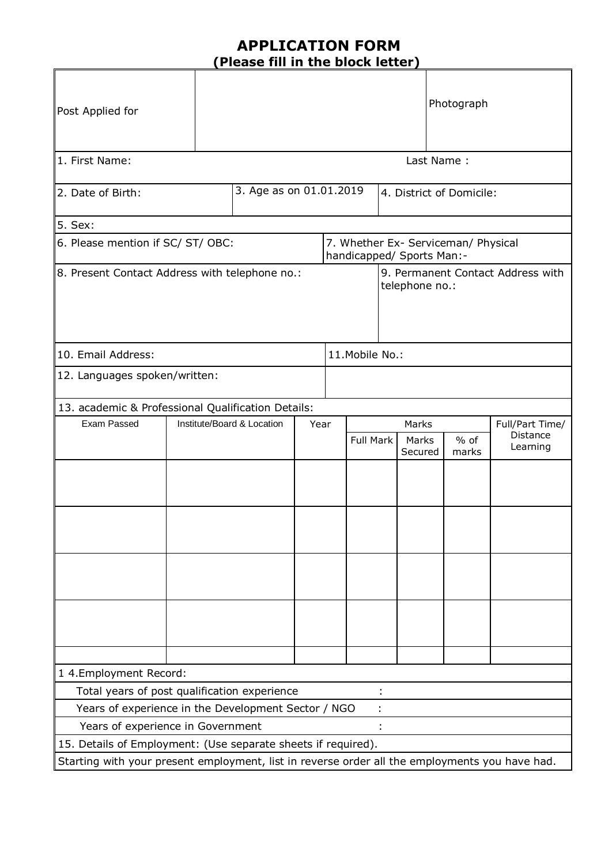# **APPLICATION FORM (Please fill in the block letter)**

| Post Applied for                                                                                      |                               | Photograph                         |  |                                                                  |           |                          |                  |                 |                      |  |
|-------------------------------------------------------------------------------------------------------|-------------------------------|------------------------------------|--|------------------------------------------------------------------|-----------|--------------------------|------------------|-----------------|----------------------|--|
| 1. First Name:<br>Last Name:                                                                          |                               |                                    |  |                                                                  |           |                          |                  |                 |                      |  |
| 2. Date of Birth:                                                                                     |                               | 3. Age as on 01.01.2019            |  |                                                                  |           | 4. District of Domicile: |                  |                 |                      |  |
| 5. Sex:                                                                                               |                               |                                    |  |                                                                  |           |                          |                  |                 |                      |  |
| 6. Please mention if SC/ ST/ OBC:                                                                     |                               |                                    |  | 7. Whether Ex- Serviceman/ Physical<br>handicapped/ Sports Man:- |           |                          |                  |                 |                      |  |
| 8. Present Contact Address with telephone no.:<br>9. Permanent Contact Address with<br>telephone no.: |                               |                                    |  |                                                                  |           |                          |                  |                 |                      |  |
| 10. Email Address:                                                                                    |                               |                                    |  | 11. Mobile No.:                                                  |           |                          |                  |                 |                      |  |
|                                                                                                       | 12. Languages spoken/written: |                                    |  |                                                                  |           |                          |                  |                 |                      |  |
| 13. academic & Professional Qualification Details:                                                    |                               |                                    |  |                                                                  |           |                          |                  |                 |                      |  |
| Exam Passed                                                                                           |                               | Institute/Board & Location<br>Year |  |                                                                  |           | Marks                    |                  | Full/Part Time/ |                      |  |
|                                                                                                       |                               |                                    |  |                                                                  | Full Mark |                          | Marks<br>Secured | $%$ of<br>marks | Distance<br>Learning |  |
|                                                                                                       |                               |                                    |  |                                                                  |           |                          |                  |                 |                      |  |
|                                                                                                       |                               |                                    |  |                                                                  |           |                          |                  |                 |                      |  |
|                                                                                                       |                               |                                    |  |                                                                  |           |                          |                  |                 |                      |  |
|                                                                                                       |                               |                                    |  |                                                                  |           |                          |                  |                 |                      |  |
|                                                                                                       |                               |                                    |  |                                                                  |           |                          |                  |                 |                      |  |
| 1 4.Employment Record:                                                                                |                               |                                    |  |                                                                  |           |                          |                  |                 |                      |  |
| Total years of post qualification experience                                                          |                               |                                    |  |                                                                  |           |                          |                  |                 |                      |  |
| Years of experience in the Development Sector / NGO                                                   |                               |                                    |  |                                                                  |           |                          |                  |                 |                      |  |
| Years of experience in Government                                                                     |                               |                                    |  |                                                                  |           |                          |                  |                 |                      |  |
| 15. Details of Employment: (Use separate sheets if required).                                         |                               |                                    |  |                                                                  |           |                          |                  |                 |                      |  |
| Starting with your present employment, list in reverse order all the employments you have had.        |                               |                                    |  |                                                                  |           |                          |                  |                 |                      |  |